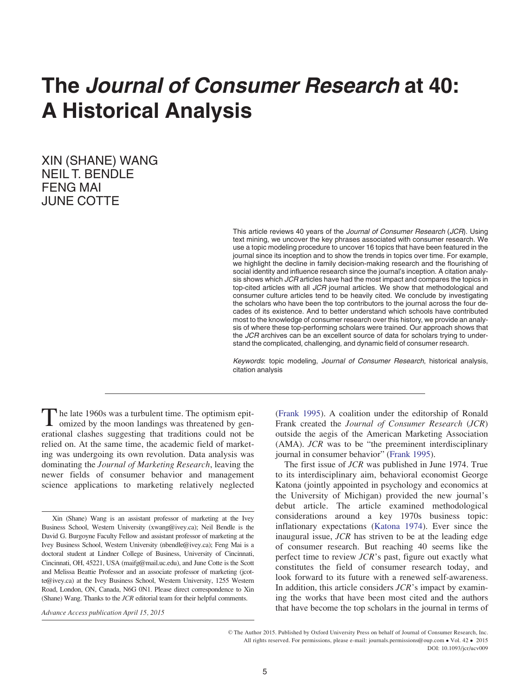# The Journal of Consumer Research at 40: A Historical Analysis

XIN (SHANE) WANG NEIL T. BENDLE FENG MAI JUNE COTTE

> This article reviews 40 years of the Journal of Consumer Research (JCR). Using text mining, we uncover the key phrases associated with consumer research. We use a topic modeling procedure to uncover 16 topics that have been featured in the journal since its inception and to show the trends in topics over time. For example, we highlight the decline in family decision-making research and the flourishing of social identity and influence research since the journal's inception. A citation analysis shows which JCR articles have had the most impact and compares the topics in top-cited articles with all JCR journal articles. We show that methodological and consumer culture articles tend to be heavily cited. We conclude by investigating the scholars who have been the top contributors to the journal across the four decades of its existence. And to better understand which schools have contributed most to the knowledge of consumer research over this history, we provide an analysis of where these top-performing scholars were trained. Our approach shows that the JCR archives can be an excellent source of data for scholars trying to understand the complicated, challenging, and dynamic field of consumer research.

> Keywords: topic modeling, Journal of Consumer Research, historical analysis, citation analysis

The late 1960s was a turbulent time. The optimism epit-<br>omized by the moon landings was threatened by generational clashes suggesting that traditions could not be relied on. At the same time, the academic field of marketing was undergoing its own revolution. Data analysis was dominating the Journal of Marketing Research, leaving the newer fields of consumer behavior and management science applications to marketing relatively neglected

Advance Access publication April 15, 2015

([Frank 1995](#page-12-0)). A coalition under the editorship of Ronald Frank created the Journal of Consumer Research (JCR) outside the aegis of the American Marketing Association (AMA). JCR was to be "the preeminent interdisciplinary journal in consumer behavior" ([Frank 1995\)](#page-12-0).

The first issue of JCR was published in June 1974. True to its interdisciplinary aim, behavioral economist George Katona (jointly appointed in psychology and economics at the University of Michigan) provided the new journal's debut article. The article examined methodological considerations around a key 1970s business topic: inflationary expectations ([Katona 1974\)](#page-13-0). Ever since the inaugural issue, JCR has striven to be at the leading edge of consumer research. But reaching 40 seems like the perfect time to review JCR's past, figure out exactly what constitutes the field of consumer research today, and look forward to its future with a renewed self-awareness. In addition, this article considers JCR's impact by examining the works that have been most cited and the authors that have become the top scholars in the journal in terms of

 $\odot$  The Author 2015. Published by Oxford University Press on behalf of Journal of Consumer Research, Inc. All rights reserved. For permissions, please e-mail: journals.permissions@oup.com • Vol. 42 • 2015 DOI: 10.1093/jcr/ucv009

Xin (Shane) Wang is an assistant professor of marketing at the Ivey Business School, Western University (xwang@ivey.ca); Neil Bendle is the David G. Burgoyne Faculty Fellow and assistant professor of marketing at the Ivey Business School, Western University (nbendle@ivey.ca); Feng Mai is a doctoral student at Lindner College of Business, University of Cincinnati, Cincinnati, OH, 45221, USA (maifg@mail.uc.edu), and June Cotte is the Scott and Melissa Beattie Professor and an associate professor of marketing (jcotte@ivey.ca) at the Ivey Business School, Western University, 1255 Western Road, London, ON, Canada, N6G 0N1. Please direct correspondence to Xin (Shane) Wang. Thanks to the JCR editorial team for their helpful comments.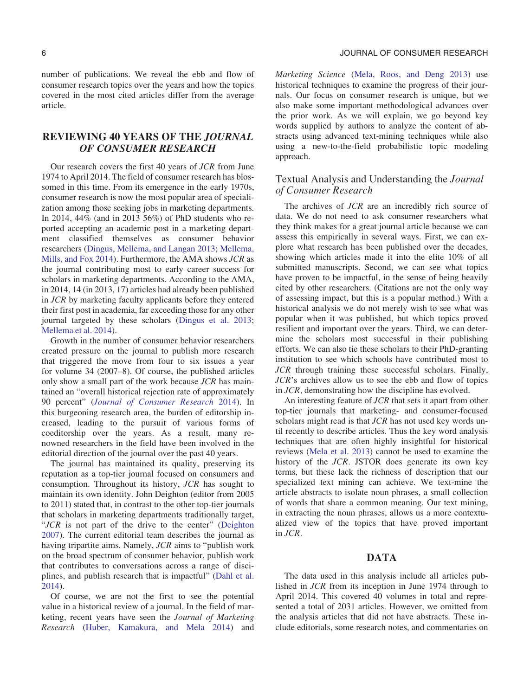number of publications. We reveal the ebb and flow of consumer research topics over the years and how the topics covered in the most cited articles differ from the average article.

# REVIEWING 40 YEARS OF THE JOURNAL OF CONSUMER RESEARCH

Our research covers the first 40 years of JCR from June 1974 to April 2014. The field of consumer research has blossomed in this time. From its emergence in the early 1970s, consumer research is now the most popular area of specialization among those seeking jobs in marketing departments. In 2014, 44% (and in 2013 56%) of PhD students who reported accepting an academic post in a marketing department classified themselves as consumer behavior researchers ([Dingus, Mellema, and Langan 2013](#page-12-0); [Mellema,](#page-13-0) [Mills, and Fox 2014](#page-13-0)). Furthermore, the AMA shows JCR as the journal contributing most to early career success for scholars in marketing departments. According to the AMA, in 2014, 14 (in 2013, 17) articles had already been published in JCR by marketing faculty applicants before they entered their first post in academia, far exceeding those for any other journal targeted by these scholars ([Dingus et al. 2013;](#page-12-0) [Mellema et al. 2014\)](#page-13-0).

Growth in the number of consumer behavior researchers created pressure on the journal to publish more research that triggered the move from four to six issues a year for volume 34 (2007–8). Of course, the published articles only show a small part of the work because JCR has maintained an "overall historical rejection rate of approximately 90 percent" ([Journal of Consumer Research](#page-13-0) 2014). In this burgeoning research area, the burden of editorship increased, leading to the pursuit of various forms of coeditorship over the years. As a result, many renowned researchers in the field have been involved in the editorial direction of the journal over the past 40 years.

The journal has maintained its quality, preserving its reputation as a top-tier journal focused on consumers and consumption. Throughout its history, JCR has sought to maintain its own identity. John Deighton (editor from 2005 to 2011) stated that, in contrast to the other top-tier journals that scholars in marketing departments traditionally target, "JCR is not part of the drive to the center" [\(Deighton](#page-12-0) [2007\)](#page-12-0). The current editorial team describes the journal as having tripartite aims. Namely, JCR aims to "publish work on the broad spectrum of consumer behavior, publish work that contributes to conversations across a range of disciplines, and publish research that is impactful" [\(Dahl et al.](#page-12-0) [2014\)](#page-12-0).

Of course, we are not the first to see the potential value in a historical review of a journal. In the field of marketing, recent years have seen the Journal of Marketing Research [\(Huber, Kamakura, and Mela 2014\)](#page-13-0) and

Marketing Science [\(Mela, Roos, and Deng 2013\)](#page-13-0) use historical techniques to examine the progress of their journals. Our focus on consumer research is unique, but we also make some important methodological advances over the prior work. As we will explain, we go beyond key words supplied by authors to analyze the content of abstracts using advanced text-mining techniques while also using a new-to-the-field probabilistic topic modeling approach.

# Textual Analysis and Understanding the Journal of Consumer Research

The archives of JCR are an incredibly rich source of data. We do not need to ask consumer researchers what they think makes for a great journal article because we can assess this empirically in several ways. First, we can explore what research has been published over the decades, showing which articles made it into the elite 10% of all submitted manuscripts. Second, we can see what topics have proven to be impactful, in the sense of being heavily cited by other researchers. (Citations are not the only way of assessing impact, but this is a popular method.) With a historical analysis we do not merely wish to see what was popular when it was published, but which topics proved resilient and important over the years. Third, we can determine the scholars most successful in their publishing efforts. We can also tie these scholars to their PhD-granting institution to see which schools have contributed most to JCR through training these successful scholars. Finally, JCR's archives allow us to see the ebb and flow of topics in JCR, demonstrating how the discipline has evolved.

An interesting feature of JCR that sets it apart from other top-tier journals that marketing- and consumer-focused scholars might read is that *JCR* has not used key words until recently to describe articles. Thus the key word analysis techniques that are often highly insightful for historical reviews ([Mela et al. 2013\)](#page-13-0) cannot be used to examine the history of the JCR. JSTOR does generate its own key terms, but these lack the richness of description that our specialized text mining can achieve. We text-mine the article abstracts to isolate noun phrases, a small collection of words that share a common meaning. Our text mining, in extracting the noun phrases, allows us a more contextualized view of the topics that have proved important in JCR.

#### DATA

The data used in this analysis include all articles published in JCR from its inception in June 1974 through to April 2014. This covered 40 volumes in total and represented a total of 2031 articles. However, we omitted from the analysis articles that did not have abstracts. These include editorials, some research notes, and commentaries on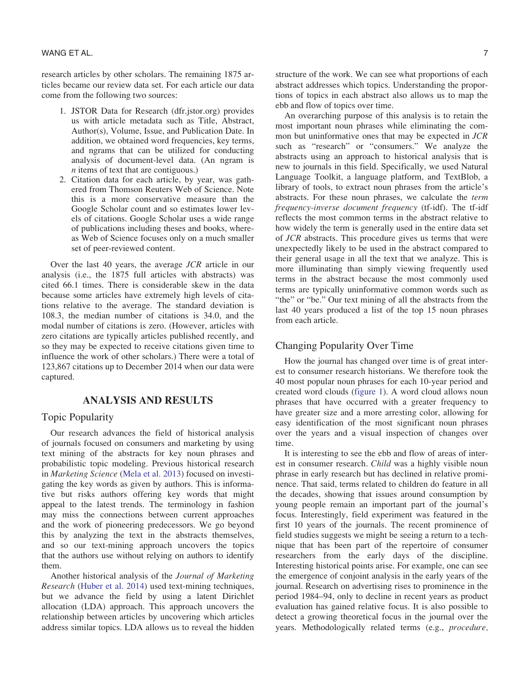#### WANG ET AL. 7

research articles by other scholars. The remaining 1875 articles became our review data set. For each article our data come from the following two sources:

- 1. JSTOR Data for Research (dfr.jstor.org) provides us with article metadata such as Title, Abstract, Author(s), Volume, Issue, and Publication Date. In addition, we obtained word frequencies, key terms, and ngrams that can be utilized for conducting analysis of document-level data. (An ngram is n items of text that are contiguous.)
- 2. Citation data for each article, by year, was gathered from Thomson Reuters Web of Science. Note this is a more conservative measure than the Google Scholar count and so estimates lower levels of citations. Google Scholar uses a wide range of publications including theses and books, whereas Web of Science focuses only on a much smaller set of peer-reviewed content.

Over the last 40 years, the average JCR article in our analysis (i.e., the 1875 full articles with abstracts) was cited 66.1 times. There is considerable skew in the data because some articles have extremely high levels of citations relative to the average. The standard deviation is 108.3, the median number of citations is 34.0, and the modal number of citations is zero. (However, articles with zero citations are typically articles published recently, and so they may be expected to receive citations given time to influence the work of other scholars.) There were a total of 123,867 citations up to December 2014 when our data were captured.

#### ANALYSIS AND RESULTS

### Topic Popularity

Our research advances the field of historical analysis of journals focused on consumers and marketing by using text mining of the abstracts for key noun phrases and probabilistic topic modeling. Previous historical research in Marketing Science [\(Mela et al. 2013](#page-13-0)) focused on investigating the key words as given by authors. This is informative but risks authors offering key words that might appeal to the latest trends. The terminology in fashion may miss the connections between current approaches and the work of pioneering predecessors. We go beyond this by analyzing the text in the abstracts themselves, and so our text-mining approach uncovers the topics that the authors use without relying on authors to identify them.

Another historical analysis of the Journal of Marketing Research ([Huber et al. 2014](#page-13-0)) used text-mining techniques, but we advance the field by using a latent Dirichlet allocation (LDA) approach. This approach uncovers the relationship between articles by uncovering which articles address similar topics. LDA allows us to reveal the hidden

structure of the work. We can see what proportions of each abstract addresses which topics. Understanding the proportions of topics in each abstract also allows us to map the ebb and flow of topics over time.

An overarching purpose of this analysis is to retain the most important noun phrases while eliminating the common but uninformative ones that may be expected in JCR such as "research" or "consumers." We analyze the abstracts using an approach to historical analysis that is new to journals in this field. Specifically, we used Natural Language Toolkit, a language platform, and TextBlob, a library of tools, to extract noun phrases from the article's abstracts. For these noun phrases, we calculate the term frequency-inverse document frequency (tf-idf). The tf-idf reflects the most common terms in the abstract relative to how widely the term is generally used in the entire data set of JCR abstracts. This procedure gives us terms that were unexpectedly likely to be used in the abstract compared to their general usage in all the text that we analyze. This is more illuminating than simply viewing frequently used terms in the abstract because the most commonly used terms are typically uninformative common words such as "the" or "be." Our text mining of all the abstracts from the last 40 years produced a list of the top 15 noun phrases from each article.

#### Changing Popularity Over Time

How the journal has changed over time is of great interest to consumer research historians. We therefore took the 40 most popular noun phrases for each 10-year period and created word clouds [\(figure 1](#page-3-0)). A word cloud allows noun phrases that have occurred with a greater frequency to have greater size and a more arresting color, allowing for easy identification of the most significant noun phrases over the years and a visual inspection of changes over time.

It is interesting to see the ebb and flow of areas of interest in consumer research. Child was a highly visible noun phrase in early research but has declined in relative prominence. That said, terms related to children do feature in all the decades, showing that issues around consumption by young people remain an important part of the journal's focus. Interestingly, field experiment was featured in the first 10 years of the journals. The recent prominence of field studies suggests we might be seeing a return to a technique that has been part of the repertoire of consumer researchers from the early days of the discipline. Interesting historical points arise. For example, one can see the emergence of conjoint analysis in the early years of the journal. Research on advertising rises to prominence in the period 1984–94, only to decline in recent years as product evaluation has gained relative focus. It is also possible to detect a growing theoretical focus in the journal over the years. Methodologically related terms (e.g., procedure,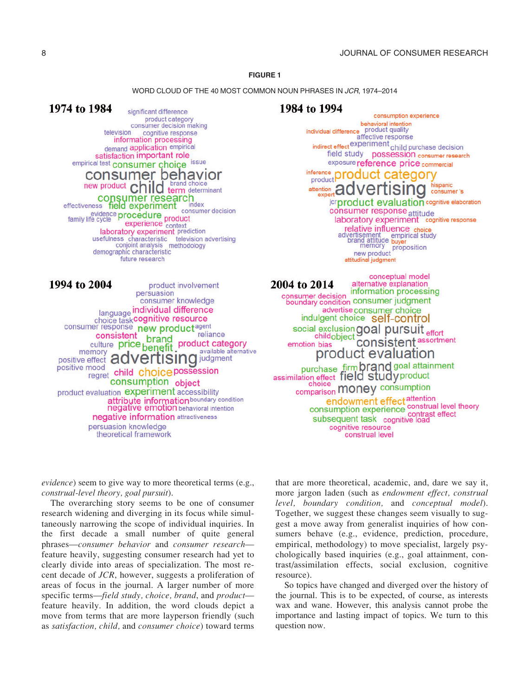#### FIGURE 1

#### WORD CLOUD OF THE 40 MOST COMMON NOUN PHRASES IN JCR, 1974–2014

1984 to 1994

<span id="page-3-0"></span>1974 to 1984 significant difference product category consumer decision making television cognitive response information processing demand application empirical satisfaction important role empirical test consumer choice <sup>issue</sup> **consumer behavior**<br>new product **child** term determinant effectiveness field experiment family life cycle<br>family life cycle<br>experience context laboratory experiment prediction usefulness characteristic television advertising conjoint analysis methodology demographic characteristic future research

1994 to 2004 product involvement persuasion consumer knowledge language individual difference choice task cognitive resource consumer response new product agent reliance consistent consistent brand<br>culture price benefit product category available alternative memory positive effect advertising judgment mood<br>regret child choice possession positive mood consumption object product evaluation experiment accessibility attribute information boundary condition negative emotion behavioral intention **negative information** attractiveness persuasion knowledge theoretical framework

consumption experience hehavioral intention product quality individual difference affective response indirect effect experiment child purchase decision field study possession consumer research exposure reference price commercial inference product category attention ad hispanic **SING** CONSUMER 'S

jcrproduct evaluation cognitive elaboration consumer response attitude laboratory experiment cognitive response relative influence choic advertisement empirical study<br>brand attitude buyer rand attitude buyer<br>memory proposition<br>new product<br>itudinal iudament attitudinal judgment

conceptual model 2004 to 2014 alternative explanation consumer decision information processii<br>boundary condition consumer judgment information processing advertise consumer choice indulgent choice self-control social exclusion goal pursuit effort childobject **consistent** assortment emotion bias product evaluation purchase firm brand goal attainment<br>assimilation effect field studyproduct choice<br>comparison **MONEY** consumption endowment effect attention endowment errect donstrual level theory<br>consumption experience<br>subsequent task cognitive load cognitive resource construal level

evidence) seem to give way to more theoretical terms (e.g., construal-level theory, goal pursuit).

The overarching story seems to be one of consumer research widening and diverging in its focus while simultaneously narrowing the scope of individual inquiries. In the first decade a small number of quite general phrases—consumer behavior and consumer research feature heavily, suggesting consumer research had yet to clearly divide into areas of specialization. The most recent decade of JCR, however, suggests a proliferation of areas of focus in the journal. A larger number of more specific terms—field study, choice, brand, and product feature heavily. In addition, the word clouds depict a move from terms that are more layperson friendly (such as satisfaction, child, and consumer choice) toward terms

that are more theoretical, academic, and, dare we say it, more jargon laden (such as endowment effect, construal level, boundary condition, and conceptual model). Together, we suggest these changes seem visually to suggest a move away from generalist inquiries of how consumers behave (e.g., evidence, prediction, procedure, empirical, methodology) to move specialist, largely psychologically based inquiries (e.g., goal attainment, contrast/assimilation effects, social exclusion, cognitive resource).

So topics have changed and diverged over the history of the journal. This is to be expected, of course, as interests wax and wane. However, this analysis cannot probe the importance and lasting impact of topics. We turn to this question now.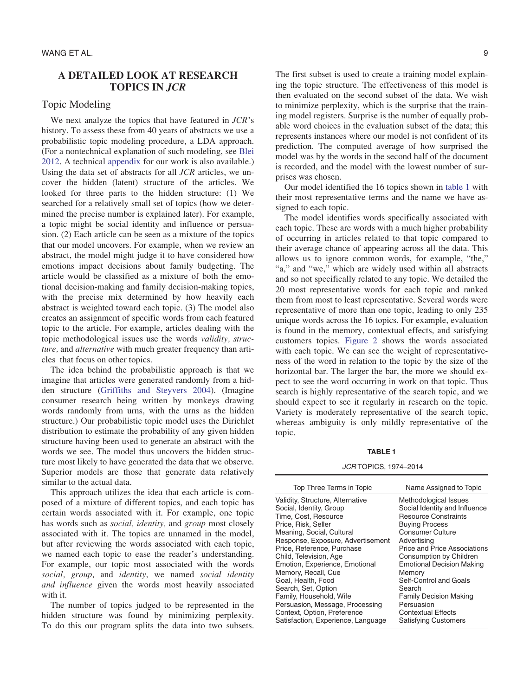# A DETAILED LOOK AT RESEARCH TOPICS IN JCR

### Topic Modeling

We next analyze the topics that have featured in  $JCR$ 's history. To assess these from 40 years of abstracts we use a probabilistic topic modeling procedure, a LDA approach. (For a nontechnical explanation of such modeling, see [Blei](#page-12-0) [2012.](#page-12-0) A technical [appendix](http://jcr.oxfordjournals.org/lookup/suppl/doi:10.1093/jcr/ucv009/-/DC1) for our work is also available.) Using the data set of abstracts for all JCR articles, we uncover the hidden (latent) structure of the articles. We looked for three parts to the hidden structure: (1) We searched for a relatively small set of topics (how we determined the precise number is explained later). For example, a topic might be social identity and influence or persuasion. (2) Each article can be seen as a mixture of the topics that our model uncovers. For example, when we review an abstract, the model might judge it to have considered how emotions impact decisions about family budgeting. The article would be classified as a mixture of both the emotional decision-making and family decision-making topics, with the precise mix determined by how heavily each abstract is weighted toward each topic. (3) The model also creates an assignment of specific words from each featured topic to the article. For example, articles dealing with the topic methodological issues use the words validity, structure, and *alternative* with much greater frequency than articles that focus on other topics.

The idea behind the probabilistic approach is that we imagine that articles were generated randomly from a hidden structure [\(Griffiths and Steyvers 2004\)](#page-12-0). (Imagine consumer research being written by monkeys drawing words randomly from urns, with the urns as the hidden structure.) Our probabilistic topic model uses the Dirichlet distribution to estimate the probability of any given hidden structure having been used to generate an abstract with the words we see. The model thus uncovers the hidden structure most likely to have generated the data that we observe. Superior models are those that generate data relatively similar to the actual data.

This approach utilizes the idea that each article is composed of a mixture of different topics, and each topic has certain words associated with it. For example, one topic has words such as social, identity, and group most closely associated with it. The topics are unnamed in the model, but after reviewing the words associated with each topic, we named each topic to ease the reader's understanding. For example, our topic most associated with the words social, group, and identity, we named social identity and influence given the words most heavily associated with it.

The number of topics judged to be represented in the hidden structure was found by minimizing perplexity. To do this our program splits the data into two subsets.

The first subset is used to create a training model explaining the topic structure. The effectiveness of this model is then evaluated on the second subset of the data. We wish to minimize perplexity, which is the surprise that the training model registers. Surprise is the number of equally probable word choices in the evaluation subset of the data; this represents instances where our model is not confident of its prediction. The computed average of how surprised the model was by the words in the second half of the document is recorded, and the model with the lowest number of surprises was chosen.

Our model identified the 16 topics shown in table 1 with their most representative terms and the name we have assigned to each topic.

The model identifies words specifically associated with each topic. These are words with a much higher probability of occurring in articles related to that topic compared to their average chance of appearing across all the data. This allows us to ignore common words, for example, "the," "a," and "we," which are widely used within all abstracts and so not specifically related to any topic. We detailed the 20 most representative words for each topic and ranked them from most to least representative. Several words were representative of more than one topic, leading to only 235 unique words across the 16 topics. For example, evaluation is found in the memory, contextual effects, and satisfying customers topics. [Figure 2](#page-5-0) shows the words associated with each topic. We can see the weight of representativeness of the word in relation to the topic by the size of the horizontal bar. The larger the bar, the more we should expect to see the word occurring in work on that topic. Thus search is highly representative of the search topic, and we should expect to see it regularly in research on the topic. Variety is moderately representative of the search topic, whereas ambiguity is only mildly representative of the topic.

TABLE 1

JCR TOPICS, 1974–2014

| Top Three Terms in Topic           | Name Assigned to Topic              |
|------------------------------------|-------------------------------------|
| Validity, Structure, Alternative   | Methodological Issues               |
| Social, Identity, Group            | Social Identity and Influence       |
| Time, Cost, Resource               | <b>Resource Constraints</b>         |
| Price, Risk, Seller                | <b>Buying Process</b>               |
| Meaning, Social, Cultural          | Consumer Culture                    |
| Response, Exposure, Advertisement  | Advertising                         |
| Price, Reference, Purchase         | <b>Price and Price Associations</b> |
| Child, Television, Age             | Consumption by Children             |
| Emotion, Experience, Emotional     | <b>Emotional Decision Making</b>    |
| Memory, Recall, Cue                | Memory                              |
| Goal, Health, Food                 | Self-Control and Goals              |
| Search, Set, Option                | Search                              |
| Family, Household, Wife            | <b>Family Decision Making</b>       |
| Persuasion, Message, Processing    | Persuasion                          |
| Context, Option, Preference        | <b>Contextual Effects</b>           |
| Satisfaction, Experience, Language | <b>Satisfying Customers</b>         |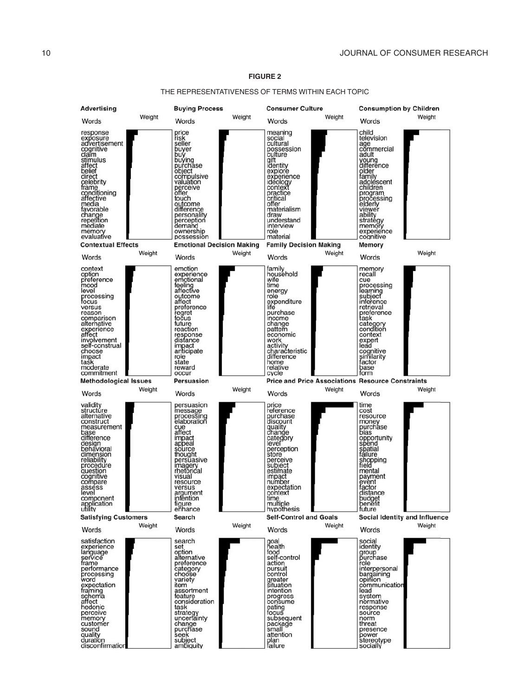#### <span id="page-5-0"></span>Advertising **Consumption by Children Buying Process Consumer Culture** Weight Weight Weight Weight Words Words Words Words price<br>seller<br>buy<br>buying<br>purchase<br>photostrompulsive<br>valuation<br>receive response<br>exposure<br>advertisement<br>cognitive<br>claim meaning<br>social child<br>television social<br>cultural<br>possession<br>culture age<br>commercial adult ciami<br>stimulus<br>affect<br>belief gift<br>identity young<br>difference difference<br>older<br>amily<br>adolescent<br>children<br>processing<br>elderly<br>viewer<br>stategy<br>memory<br>maxorience rdentity<br>experience<br>ideology<br>context<br>practice<br>critical belief<br>direct<br>celebrity<br>frame<br>conditioning<br>affective perceive<br>offer<br>touch critical<br>offer<br>materialism<br>draw<br>understand<br>interview outcome<br>difference<br>personality media<br>favorable change<br>repetition<br>mediate personality<br>perception<br>demand<br>ownership<br>possession experience<br>cognitive memon  $m<sub>e</sub>$ evaluative material **Contextual Effects Emotional Decision Making Family Decision Making** Memory Weight Weight Weight Weight Words Words Words Words family<br>household<br>wife context emotion memory emotion<br>experience<br>emotional<br>feeling<br>affective option<br>preference recall  $CUB$ cue<br>processing<br>subject<br>inference<br>reference<br>reference<br>category<br>condition<br>context<br>cxpert mood<br>level time<br>energy processing<br>focus<br>versus outcome<br>affect<br>preference role<br>expenditure<br>life life<br>purchase<br>income<br>change<br>pattern<br>economic<br>work regret<br>focus<br>future reason comparison<br>alternative alternative<br>experience<br>affect<br>involvement<br>self-construal<br>impact<br>task<br>moderate<br>moderate ruture<br>reaction<br>response<br>distance expert<br>lead<br>cognitive<br>similarity work<br>activity<br>characteristic<br>difference impact<br>anticipate role<br>state nieren<br>home<br>relative factor reward base commitment cycle form occur **Methodological Issues** Persuasion **Price and Price Associations Resource Constraints** Weight Weight Weight Weight Words Words Words Words validity<br>structure<br>alternative price<br>reference<br>purchase<br>discount nersuasion time persuasion<br>message<br>processing<br>elaboration cost<br>resource money<br>purchase<br>bias construct quality<br>change measurement cue<br>affect base<br>difference<br>design<br>behavioral affect<br>impact<br>appeal<br>source<br>thought<br>persuasive<br>metorical<br>metorical bias<br>opportunity<br>spatial<br>spatial<br>failure<br>shopping<br>field category<br>level level<br>perception<br>store<br>perceive<br>subject<br>estimate<br>impact dimension<br>reliability<br>procedure procedure<br>cognitive<br>compare<br>assess<br>level mental visual payment impact<br>number resource event resource<br>versus<br>argument<br>intention<br>figure<br>enhance number<br>expectation<br>context<br>time<br>multiple<br>hypothesis Ferent<br>distance component<br>application<br>utility budget<br>benefit<br>future **Self-Control and Goals Satisfying Customers** Search **Social Identity and Influence** Weight Weight Weight Weight Words Words Words Words satisfaction<br>experience<br>language<br>service<br>performance<br>processing<br>word<br>word<br>expectation social<br>identity search goal<br>health set set<br>alternative<br>preference<br>category<br>choose food<br>self-control group<br>purchase action<br>pursuit<br>control role role<br>interpersonal<br>bargaining<br>opinion<br>communication

greater<br>situation<br>intention

progress<br>consume

consume<br>eating<br>focus<br>subsequent<br>package<br>small

attention

plan<br>failure

lead

system<br>normative

response<br>source

presence

norm<br>threat

power power<br>stereotype<br>socially

variety<br>item

task strategy<br>uncertainty

uncertain<br>change<br>purchase<br>seek<br>subject<br>ambiquity

nem<br>assortment<br>feature<br>consideration

word<br>expectation<br>raming<br>schema<br>affect<br>hecoice<br>perceive<br>memory<br>customer<br>sound<br>sculling<br>sculling

quality<br>duration<br>disconfirmation

#### FIGURE 2

#### THE REPRESENTATIVENESS OF TERMS WITHIN EACH TOPIC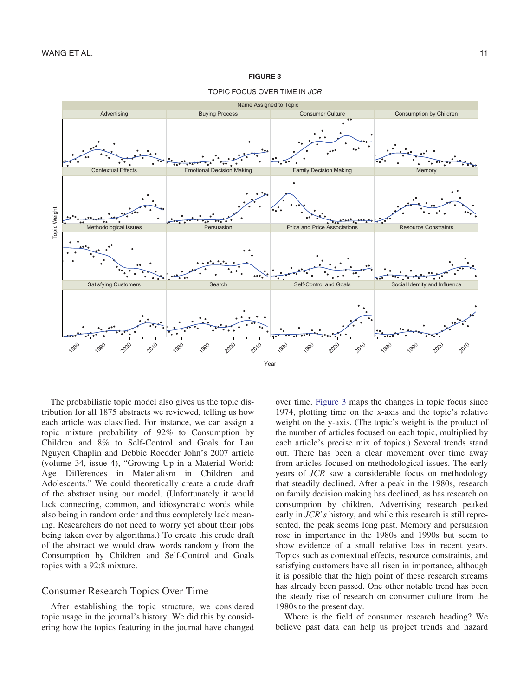

FIGURE 3

The probabilistic topic model also gives us the topic distribution for all 1875 abstracts we reviewed, telling us how each article was classified. For instance, we can assign a topic mixture probability of 92% to Consumption by Children and 8% to Self-Control and Goals for Lan Nguyen Chaplin and Debbie Roedder John's 2007 article (volume 34, issue 4), "Growing Up in a Material World: Age Differences in Materialism in Children and Adolescents." We could theoretically create a crude draft of the abstract using our model. (Unfortunately it would lack connecting, common, and idiosyncratic words while also being in random order and thus completely lack meaning. Researchers do not need to worry yet about their jobs being taken over by algorithms.) To create this crude draft of the abstract we would draw words randomly from the Consumption by Children and Self-Control and Goals topics with a 92:8 mixture.

#### Consumer Research Topics Over Time

After establishing the topic structure, we considered topic usage in the journal's history. We did this by considering how the topics featuring in the journal have changed

over time. Figure 3 maps the changes in topic focus since 1974, plotting time on the x-axis and the topic's relative weight on the y-axis. (The topic's weight is the product of the number of articles focused on each topic, multiplied by each article's precise mix of topics.) Several trends stand out. There has been a clear movement over time away from articles focused on methodological issues. The early years of JCR saw a considerable focus on methodology that steadily declined. After a peak in the 1980s, research on family decision making has declined, as has research on consumption by children. Advertising research peaked early in JCR's history, and while this research is still represented, the peak seems long past. Memory and persuasion rose in importance in the 1980s and 1990s but seem to show evidence of a small relative loss in recent years. Topics such as contextual effects, resource constraints, and satisfying customers have all risen in importance, although it is possible that the high point of these research streams has already been passed. One other notable trend has been the steady rise of research on consumer culture from the 1980s to the present day.

Where is the field of consumer research heading? We believe past data can help us project trends and hazard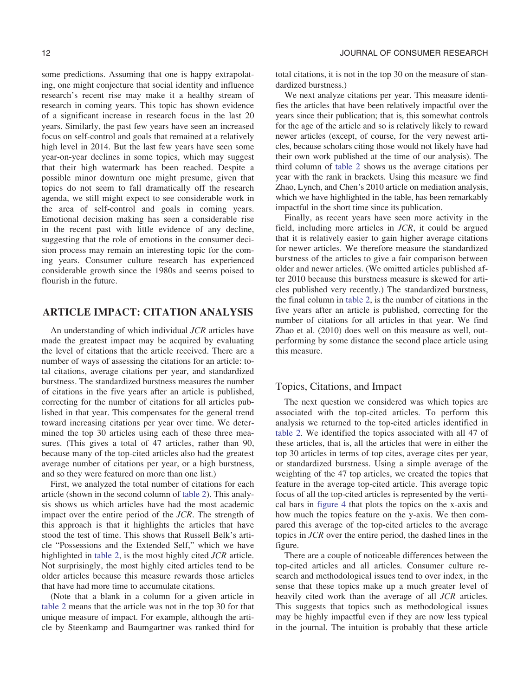some predictions. Assuming that one is happy extrapolating, one might conjecture that social identity and influence research's recent rise may make it a healthy stream of research in coming years. This topic has shown evidence of a significant increase in research focus in the last 20 years. Similarly, the past few years have seen an increased focus on self-control and goals that remained at a relatively high level in 2014. But the last few years have seen some year-on-year declines in some topics, which may suggest that their high watermark has been reached. Despite a possible minor downturn one might presume, given that topics do not seem to fall dramatically off the research agenda, we still might expect to see considerable work in the area of self-control and goals in coming years. Emotional decision making has seen a considerable rise in the recent past with little evidence of any decline, suggesting that the role of emotions in the consumer decision process may remain an interesting topic for the coming years. Consumer culture research has experienced considerable growth since the 1980s and seems poised to flourish in the future.

# ARTICLE IMPACT: CITATION ANALYSIS

An understanding of which individual JCR articles have made the greatest impact may be acquired by evaluating the level of citations that the article received. There are a number of ways of assessing the citations for an article: total citations, average citations per year, and standardized burstness. The standardized burstness measures the number of citations in the five years after an article is published, correcting for the number of citations for all articles published in that year. This compensates for the general trend toward increasing citations per year over time. We determined the top 30 articles using each of these three measures. (This gives a total of 47 articles, rather than 90, because many of the top-cited articles also had the greatest average number of citations per year, or a high burstness, and so they were featured on more than one list.)

First, we analyzed the total number of citations for each article (shown in the second column of [table 2\)](#page-8-0). This analysis shows us which articles have had the most academic impact over the entire period of the JCR. The strength of this approach is that it highlights the articles that have stood the test of time. This shows that Russell Belk's article "Possessions and the Extended Self," which we have highlighted in [table 2,](#page-8-0) is the most highly cited JCR article. Not surprisingly, the most highly cited articles tend to be older articles because this measure rewards those articles that have had more time to accumulate citations.

(Note that a blank in a column for a given article in [table 2](#page-8-0) means that the article was not in the top 30 for that unique measure of impact. For example, although the article by Steenkamp and Baumgartner was ranked third for

total citations, it is not in the top 30 on the measure of standardized burstness.)

We next analyze citations per year. This measure identifies the articles that have been relatively impactful over the years since their publication; that is, this somewhat controls for the age of the article and so is relatively likely to reward newer articles (except, of course, for the very newest articles, because scholars citing those would not likely have had their own work published at the time of our analysis). The third column of [table 2](#page-8-0) shows us the average citations per year with the rank in brackets. Using this measure we find Zhao, Lynch, and Chen's 2010 article on mediation analysis, which we have highlighted in the table, has been remarkably impactful in the short time since its publication.

Finally, as recent years have seen more activity in the field, including more articles in JCR, it could be argued that it is relatively easier to gain higher average citations for newer articles. We therefore measure the standardized burstness of the articles to give a fair comparison between older and newer articles. (We omitted articles published after 2010 because this burstness measure is skewed for articles published very recently.) The standardized burstness, the final column in [table 2,](#page-8-0) is the number of citations in the five years after an article is published, correcting for the number of citations for all articles in that year. We find Zhao et al. (2010) does well on this measure as well, outperforming by some distance the second place article using this measure.

#### Topics, Citations, and Impact

The next question we considered was which topics are associated with the top-cited articles. To perform this analysis we returned to the top-cited articles identified in [table 2.](#page-8-0) We identified the topics associated with all 47 of these articles, that is, all the articles that were in either the top 30 articles in terms of top cites, average cites per year, or standardized burstness. Using a simple average of the weighting of the 47 top articles, we created the topics that feature in the average top-cited article. This average topic focus of all the top-cited articles is represented by the vertical bars in [figure 4](#page-10-0) that plots the topics on the x-axis and how much the topics feature on the y-axis. We then compared this average of the top-cited articles to the average topics in JCR over the entire period, the dashed lines in the figure.

There are a couple of noticeable differences between the top-cited articles and all articles. Consumer culture research and methodological issues tend to over index, in the sense that these topics make up a much greater level of heavily cited work than the average of all  $JCR$  articles. This suggests that topics such as methodological issues may be highly impactful even if they are now less typical in the journal. The intuition is probably that these article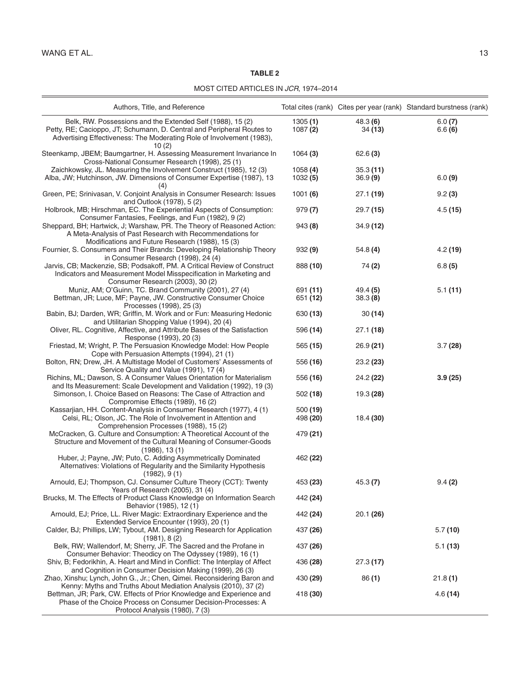# TABLE 2

MOST CITED ARTICLES IN JCR, 1974–2014

<span id="page-8-0"></span>

| Authors, Title, and Reference                                                                                                                                                                                          |                      |                     | Total cites (rank) Cites per year (rank) Standard burstness (rank) |
|------------------------------------------------------------------------------------------------------------------------------------------------------------------------------------------------------------------------|----------------------|---------------------|--------------------------------------------------------------------|
| Belk, RW. Possessions and the Extended Self (1988), 15 (2)<br>Petty, RE; Cacioppo, JT; Schumann, D. Central and Peripheral Routes to<br>Advertising Effectiveness: The Moderating Role of Involvement (1983),<br>10(2) | 1305(1)<br>1087(2)   | 48.3(6)<br>34(13)   | 6.0(7)<br>6.6(6)                                                   |
| Steenkamp, JBEM; Baumgartner, H. Assessing Measurement Invariance In<br>Cross-National Consumer Research (1998), 25 (1)                                                                                                | 1064(3)              | 62.6(3)             |                                                                    |
| Zaichkowsky, JL. Measuring the Involvement Construct (1985), 12 (3)<br>Alba, JW; Hutchinson, JW. Dimensions of Consumer Expertise (1987), 13                                                                           | 1058(4)<br>1032(5)   | 35.3(11)<br>36.9(9) | 6.0(9)                                                             |
| (4)<br>Green, PE; Srinivasan, V. Conjoint Analysis in Consumer Research: Issues<br>and Outlook (1978), 5 (2)                                                                                                           | 1001(6)              | 27.1 (19)           | 9.2(3)                                                             |
| Holbrook, MB; Hirschman, EC. The Experiential Aspects of Consumption:<br>Consumer Fantasies, Feelings, and Fun (1982), 9 (2)                                                                                           | 979(7)               | 29.7 (15)           | 4.5(15)                                                            |
| Sheppard, BH; Hartwick, J; Warshaw, PR. The Theory of Reasoned Action:<br>A Meta-Analysis of Past Research with Recommendations for<br>Modifications and Future Research (1988), 15 (3)                                | 943(8)               | 34.9(12)            |                                                                    |
| Fournier, S. Consumers and Their Brands: Developing Relationship Theory<br>in Consumer Research (1998), 24 (4)                                                                                                         | 932(9)               | 54.8(4)             | 4.2(19)                                                            |
| Jarvis, CB; Mackenzie, SB; Podsakoff, PM. A Critical Review of Construct<br>Indicators and Measurement Model Misspecification in Marketing and<br>Consumer Research (2003), 30 (2)                                     | 888 (10)             | 74 (2)              | 6.8(5)                                                             |
| Muniz, AM; O'Guinn, TC. Brand Community (2001), 27 (4)<br>Bettman, JR; Luce, MF; Payne, JW. Constructive Consumer Choice                                                                                               | 691 (11)<br>651 (12) | 49.4(5)<br>38.3(8)  | 5.1(11)                                                            |
| Processes (1998), 25 (3)<br>Babin, BJ; Darden, WR; Griffin, M. Work and or Fun: Measuring Hedonic<br>and Utilitarian Shopping Value (1994), 20 (4)                                                                     | 630 (13)             | 30(14)              |                                                                    |
| Oliver, RL. Cognitive, Affective, and Attribute Bases of the Satisfaction<br>Response (1993), 20 (3)                                                                                                                   | 596 (14)             | 27.1(18)            |                                                                    |
| Friestad, M; Wright, P. The Persuasion Knowledge Model: How People<br>Cope with Persuasion Attempts (1994), 21 (1)                                                                                                     | 565 (15)             | 26.9(21)            | 3.7(28)                                                            |
| Bolton, RN; Drew, JH. A Multistage Model of Customers' Assessments of<br>Service Quality and Value (1991), 17 (4)                                                                                                      | 556 (16)             | 23.2(23)            |                                                                    |
| Richins, ML; Dawson, S. A Consumer Values Orientation for Materialism<br>and Its Measurement: Scale Development and Validation (1992), 19 (3)                                                                          | 556 (16)             | 24.2 (22)           | 3.9(25)                                                            |
| Simonson, I. Choice Based on Reasons: The Case of Attraction and<br>Compromise Effects (1989), 16 (2)                                                                                                                  | 502(18)              | 19.3 (28)           |                                                                    |
| Kassarjian, HH. Content-Analysis in Consumer Research (1977), 4 (1)<br>Celsi, RL; Olson, JC. The Role of Involvement in Attention and<br>Comprehension Processes (1988), 15 (2)                                        | 500(19)<br>498 (20)  | 18.4 (30)           |                                                                    |
| McCracken, G. Culture and Consumption: A Theoretical Account of the<br>Structure and Movement of the Cultural Meaning of Consumer-Goods<br>(1986), 13(1)                                                               | 479 (21)             |                     |                                                                    |
| Huber, J; Payne, JW; Puto, C. Adding Asymmetrically Dominated<br>Alternatives: Violations of Regularity and the Similarity Hypothesis<br>(1982), 9(1)                                                                  | 462 (22)             |                     |                                                                    |
| Arnould, EJ; Thompson, CJ. Consumer Culture Theory (CCT): Twenty<br>Years of Research (2005), 31 (4)                                                                                                                   | 453 (23)             | 45.3(7)             | 9.4(2)                                                             |
| Brucks, M. The Effects of Product Class Knowledge on Information Search<br>Behavior (1985), 12(1)                                                                                                                      | 442 (24)             |                     |                                                                    |
| Arnould, EJ; Price, LL. River Magic: Extraordinary Experience and the<br>Extended Service Encounter (1993), 20(1)                                                                                                      | 442 (24)             | 20.1(26)            |                                                                    |
| Calder, BJ; Phillips, LW; Tybout, AM. Designing Research for Application<br>(1981), 8(2)                                                                                                                               | 437 (26)             |                     | 5.7(10)                                                            |
| Belk, RW; Wallendorf, M; Sherry, JF. The Sacred and the Profane in<br>Consumer Behavior: Theodicy on The Odyssey (1989), 16 (1)                                                                                        | 437 (26)             |                     | 5.1(13)                                                            |
| Shiv, B; Fedorikhin, A. Heart and Mind in Conflict: The Interplay of Affect<br>and Cognition in Consumer Decision Making (1999), 26 (3)                                                                                | 436 (28)             | 27.3(17)            |                                                                    |
| Zhao, Xinshu; Lynch, John G., Jr.; Chen, Qimei. Reconsidering Baron and<br>Kenny: Myths and Truths About Mediation Analysis (2010), 37 (2)                                                                             | 430 (29)             | 86(1)               | 21.8(1)                                                            |
| Bettman, JR; Park, CW. Effects of Prior Knowledge and Experience and<br>Phase of the Choice Process on Consumer Decision-Processes: A<br>Protocol Analysis (1980), 7 (3)                                               | 418 (30)             |                     | 4.6(14)                                                            |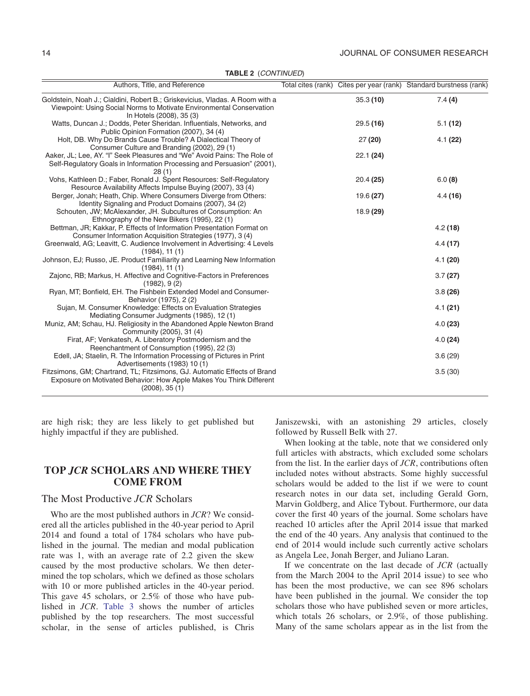| Authors, Title, and Reference                                                                                                                                                    |           | Total cites (rank) Cites per year (rank) Standard burstness (rank) |
|----------------------------------------------------------------------------------------------------------------------------------------------------------------------------------|-----------|--------------------------------------------------------------------|
| Goldstein, Noah J.; Cialdini, Robert B.; Griskevicius, Vladas. A Room with a<br>Viewpoint: Using Social Norms to Motivate Environmental Conservation<br>In Hotels (2008), 35 (3) | 35.3(10)  | 7.4(4)                                                             |
| Watts, Duncan J.; Dodds, Peter Sheridan. Influentials, Networks, and<br>Public Opinion Formation (2007), 34 (4)                                                                  | 29.5(16)  | 5.1(12)                                                            |
| Holt, DB. Why Do Brands Cause Trouble? A Dialectical Theory of<br>Consumer Culture and Branding (2002), 29 (1)                                                                   | 27(20)    | 4.1(22)                                                            |
| Aaker, JL; Lee, AY. "I" Seek Pleasures and "We" Avoid Pains: The Role of<br>Self-Regulatory Goals in Information Processing and Persuasion" (2001),<br>28(1)                     | 22.1(24)  |                                                                    |
| Vohs, Kathleen D.; Faber, Ronald J. Spent Resources: Self-Regulatory<br>Resource Availability Affects Impulse Buying (2007), 33 (4)                                              | 20.4(25)  | 6.0(8)                                                             |
| Berger, Jonah; Heath, Chip. Where Consumers Diverge from Others:<br>Identity Signaling and Product Domains (2007), 34 (2)                                                        | 19.6(27)  | 4.4(16)                                                            |
| Schouten, JW; McAlexander, JH. Subcultures of Consumption: An<br>Ethnography of the New Bikers (1995), 22 (1)                                                                    | 18.9 (29) |                                                                    |
| Bettman, JR; Kakkar, P. Effects of Information Presentation Format on<br>Consumer Information Acquisition Strategies (1977), 3 (4)                                               |           | 4.2(18)                                                            |
| Greenwald, AG; Leavitt, C. Audience Involvement in Advertising: 4 Levels<br>$(1984)$ , 11 $(1)$                                                                                  |           | 4.4(17)                                                            |
| Johnson, EJ; Russo, JE. Product Familiarity and Learning New Information<br>$(1984)$ , 11 $(1)$                                                                                  |           | 4.1(20)                                                            |
| Zajonc, RB; Markus, H. Affective and Cognitive-Factors in Preferences<br>(1982), 9(2)                                                                                            |           | 3.7(27)                                                            |
| Ryan, MT; Bonfield, EH. The Fishbein Extended Model and Consumer-<br>Behavior (1975), 2(2)                                                                                       |           | 3.8(26)                                                            |
| Sujan, M. Consumer Knowledge: Effects on Evaluation Strategies<br>Mediating Consumer Judgments (1985), 12(1)                                                                     |           | 4.1(21)                                                            |
| Muniz, AM; Schau, HJ. Religiosity in the Abandoned Apple Newton Brand<br>Community (2005), 31 (4)                                                                                |           | 4.0(23)                                                            |
| Firat, AF; Venkatesh, A. Liberatory Postmodernism and the<br>Reenchantment of Consumption (1995), 22 (3)                                                                         |           | 4.0(24)                                                            |
| Edell, JA; Staelin, R. The Information Processing of Pictures in Print<br>Advertisements (1983) 10 (1)                                                                           |           | 3.6(29)                                                            |
| Fitzsimons, GM; Chartrand, TL; Fitzsimons, GJ. Automatic Effects of Brand<br>Exposure on Motivated Behavior: How Apple Makes You Think Different<br>(2008), 35(1)                |           | 3.5(30)                                                            |

are high risk; they are less likely to get published but highly impactful if they are published.

# TOP JCR SCHOLARS AND WHERE THEY COME FROM

### The Most Productive JCR Scholars

Who are the most published authors in *JCR*? We considered all the articles published in the 40-year period to April 2014 and found a total of 1784 scholars who have published in the journal. The median and modal publication rate was 1, with an average rate of 2.2 given the skew caused by the most productive scholars. We then determined the top scholars, which we defined as those scholars with 10 or more published articles in the 40-year period. This gave 45 scholars, or 2.5% of those who have published in JCR. [Table 3](#page-11-0) shows the number of articles published by the top researchers. The most successful scholar, in the sense of articles published, is Chris

Janiszewski, with an astonishing 29 articles, closely followed by Russell Belk with 27.

When looking at the table, note that we considered only full articles with abstracts, which excluded some scholars from the list. In the earlier days of JCR, contributions often included notes without abstracts. Some highly successful scholars would be added to the list if we were to count research notes in our data set, including Gerald Gorn, Marvin Goldberg, and Alice Tybout. Furthermore, our data cover the first 40 years of the journal. Some scholars have reached 10 articles after the April 2014 issue that marked the end of the 40 years. Any analysis that continued to the end of 2014 would include such currently active scholars as Angela Lee, Jonah Berger, and Juliano Laran.

If we concentrate on the last decade of JCR (actually from the March 2004 to the April 2014 issue) to see who has been the most productive, we can see 896 scholars have been published in the journal. We consider the top scholars those who have published seven or more articles, which totals 26 scholars, or 2.9%, of those publishing. Many of the same scholars appear as in the list from the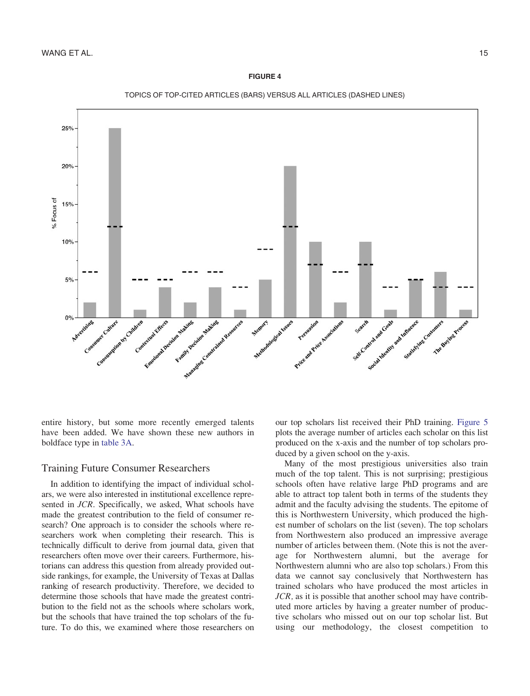<span id="page-10-0"></span>

TOPICS OF TOP-CITED ARTICLES (BARS) VERSUS ALL ARTICLES (DASHED LINES)

entire history, but some more recently emerged talents have been added. We have shown these new authors in boldface type in [table 3A](#page-11-0).

#### Training Future Consumer Researchers

In addition to identifying the impact of individual scholars, we were also interested in institutional excellence represented in JCR. Specifically, we asked, What schools have made the greatest contribution to the field of consumer research? One approach is to consider the schools where researchers work when completing their research. This is technically difficult to derive from journal data, given that researchers often move over their careers. Furthermore, historians can address this question from already provided outside rankings, for example, the University of Texas at Dallas ranking of research productivity. Therefore, we decided to determine those schools that have made the greatest contribution to the field not as the schools where scholars work, but the schools that have trained the top scholars of the future. To do this, we examined where those researchers on

our top scholars list received their PhD training. [Figure 5](#page-12-0) plots the average number of articles each scholar on this list produced on the x-axis and the number of top scholars produced by a given school on the y-axis.

Many of the most prestigious universities also train much of the top talent. This is not surprising; prestigious schools often have relative large PhD programs and are able to attract top talent both in terms of the students they admit and the faculty advising the students. The epitome of this is Northwestern University, which produced the highest number of scholars on the list (seven). The top scholars from Northwestern also produced an impressive average number of articles between them. (Note this is not the average for Northwestern alumni, but the average for Northwestern alumni who are also top scholars.) From this data we cannot say conclusively that Northwestern has trained scholars who have produced the most articles in JCR, as it is possible that another school may have contributed more articles by having a greater number of productive scholars who missed out on our top scholar list. But using our methodology, the closest competition to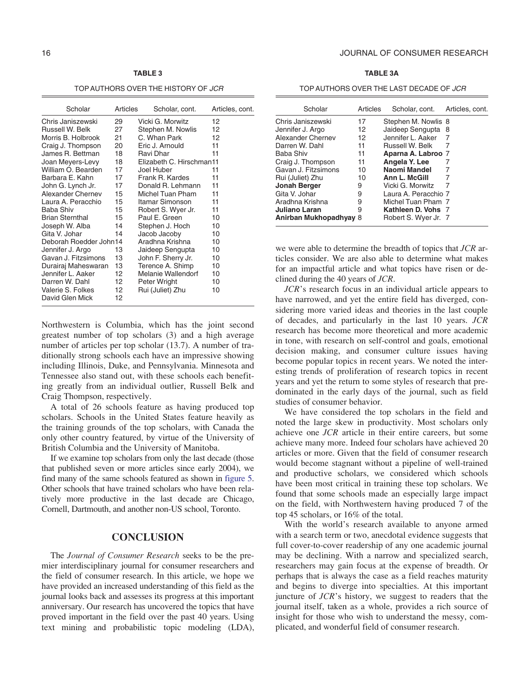TABLE 3

TOP AUTHORS OVER THE HISTORY OF JCR

<span id="page-11-0"></span>

| Scholar                | Articles | Scholar, cont.           | Articles, cont. |
|------------------------|----------|--------------------------|-----------------|
| Chris Janiszewski      | 29       | Vicki G. Morwitz         | 12              |
| Russell W. Belk        | 27       | Stephen M. Nowlis        | 12              |
| Morris B. Holbrook     | 21       | C. Whan Park             | 12              |
| Craig J. Thompson      | 20       | Eric J. Arnould          | 11              |
| James R. Bettman       | 18       | Ravi Dhar                | 11              |
| Joan Meyers-Levy       | 18       | Elizabeth C. Hirschman11 |                 |
| William O. Bearden     | 17       | Joel Huber               | 11              |
| Barbara E. Kahn        | 17       | Frank R. Kardes          | 11              |
| John G. Lynch Jr.      | 17       | Donald R. Lehmann        | 11              |
| Alexander Chernev      | 15       | Michel Tuan Pham         | 11              |
| Laura A. Peracchio     | 15       | Itamar Simonson          | 11              |
| Baba Shiv              | 15       | Robert S. Wyer Jr.       | 11              |
| <b>Brian Sternthal</b> | 15       | Paul E. Green            | 10              |
| Joseph W. Alba         | 14       | Stephen J. Hoch          | 10              |
| Gita V. Johar          | 14       | Jacob Jacoby             | 10              |
| Deborah Roedder John14 |          | Aradhna Krishna          | 10              |
| Jennifer J. Argo       | 13       | Jaideep Sengupta         | 10              |
| Gavan J. Fitzsimons    | 13       | John F. Sherry Jr.       | 10              |
| Durairaj Maheswaran    | 13       | Terence A. Shimp         | 10              |
| Jennifer L. Aaker      | 12       | Melanie Wallendorf       | 10              |
| Darren W. Dahl         | 12       | Peter Wright             | 10              |
| Valerie S. Folkes      | 12       | Rui (Juliet) Zhu         | 10              |
| David Glen Mick        | 12       |                          |                 |

Northwestern is Columbia, which has the joint second greatest number of top scholars (3) and a high average number of articles per top scholar (13.7). A number of traditionally strong schools each have an impressive showing including Illinois, Duke, and Pennsylvania. Minnesota and Tennessee also stand out, with these schools each benefiting greatly from an individual outlier, Russell Belk and Craig Thompson, respectively.

A total of 26 schools feature as having produced top scholars. Schools in the United States feature heavily as the training grounds of the top scholars, with Canada the only other country featured, by virtue of the University of British Columbia and the University of Manitoba.

If we examine top scholars from only the last decade (those that published seven or more articles since early 2004), we find many of the same schools featured as shown in [figure 5](#page-12-0). Other schools that have trained scholars who have been relatively more productive in the last decade are Chicago, Cornell, Dartmouth, and another non-US school, Toronto.

# **CONCLUSION**

The Journal of Consumer Research seeks to be the premier interdisciplinary journal for consumer researchers and the field of consumer research. In this article, we hope we have provided an increased understanding of this field as the journal looks back and assesses its progress at this important anniversary. Our research has uncovered the topics that have proved important in the field over the past 40 years. Using text mining and probabilistic topic modeling (LDA),

TABLE 3A

TOP AUTHORS OVER THE LAST DECADE OF JCR

| Scholar                | Articles | Scholar, cont.       | Articles, cont. |
|------------------------|----------|----------------------|-----------------|
| Chris Janiszewski      | 17       | Stephen M. Nowlis 8  |                 |
| Jennifer J. Argo       | 12       | Jaideep Sengupta 8   |                 |
| Alexander Cherney      | 12       | Jennifer L. Aaker    |                 |
| Darren W. Dahl         | 11       | Russell W. Belk      | 7               |
| Baba Shiv              | 11       | Aparna A. Labroo 7   |                 |
| Craig J. Thompson      | 11       | Angela Y. Lee        |                 |
| Gavan J. Fitzsimons    | 10       | Naomi Mandel         |                 |
| Rui (Juliet) Zhu       | 10       | Ann L. McGill        | 7               |
| <b>Jonah Berger</b>    | 9        | Vicki G. Morwitz     |                 |
| Gita V. Johar          | 9        | Laura A. Peracchio 7 |                 |
| Aradhna Krishna        | 9        | Michel Tuan Pham 7   |                 |
| Juliano Laran          | 9        | Kathleen D. Vohs 7   |                 |
| Anirban Mukhopadhyay 8 |          | Robert S. Wyer Jr. 7 |                 |

we were able to determine the breadth of topics that JCR articles consider. We are also able to determine what makes for an impactful article and what topics have risen or declined during the 40 years of JCR.

JCR's research focus in an individual article appears to have narrowed, and yet the entire field has diverged, considering more varied ideas and theories in the last couple of decades, and particularly in the last 10 years. JCR research has become more theoretical and more academic in tone, with research on self-control and goals, emotional decision making, and consumer culture issues having become popular topics in recent years. We noted the interesting trends of proliferation of research topics in recent years and yet the return to some styles of research that predominated in the early days of the journal, such as field studies of consumer behavior.

We have considered the top scholars in the field and noted the large skew in productivity. Most scholars only achieve one JCR article in their entire careers, but some achieve many more. Indeed four scholars have achieved 20 articles or more. Given that the field of consumer research would become stagnant without a pipeline of well-trained and productive scholars, we considered which schools have been most critical in training these top scholars. We found that some schools made an especially large impact on the field, with Northwestern having produced 7 of the top 45 scholars, or 16% of the total.

With the world's research available to anyone armed with a search term or two, anecdotal evidence suggests that full cover-to-cover readership of any one academic journal may be declining. With a narrow and specialized search, researchers may gain focus at the expense of breadth. Or perhaps that is always the case as a field reaches maturity and begins to diverge into specialties. At this important juncture of JCR's history, we suggest to readers that the journal itself, taken as a whole, provides a rich source of insight for those who wish to understand the messy, complicated, and wonderful field of consumer research.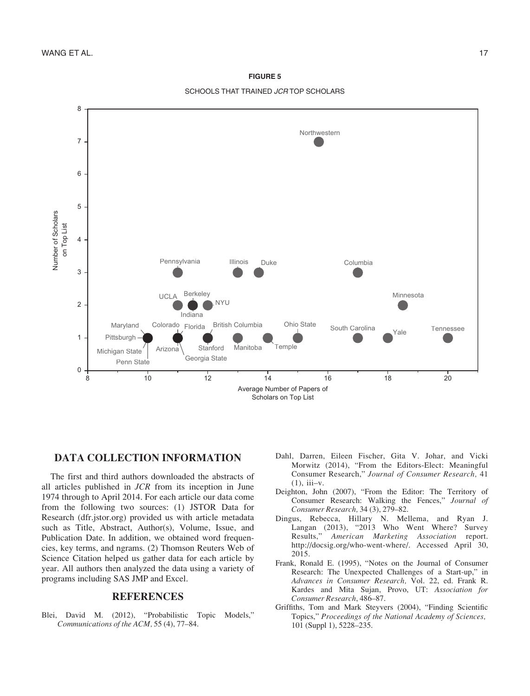<span id="page-12-0"></span>

#### FIGURE 5

SCHOOLS THAT TRAINED JCR TOP SCHOLARS

# DATA COLLECTION INFORMATION

The first and third authors downloaded the abstracts of all articles published in JCR from its inception in June 1974 through to April 2014. For each article our data come from the following two sources: (1) JSTOR Data for Research (dfr.jstor.org) provided us with article metadata such as Title, Abstract, Author(s), Volume, Issue, and Publication Date. In addition, we obtained word frequencies, key terms, and ngrams. (2) Thomson Reuters Web of Science Citation helped us gather data for each article by year. All authors then analyzed the data using a variety of programs including SAS JMP and Excel.

### REFERENCES

Blei, David M. (2012), "Probabilistic Topic Models," Communications of the ACM, 55 (4), 77–84.

- Dahl, Darren, Eileen Fischer, Gita V. Johar, and Vicki Morwitz (2014), "From the Editors-Elect: Meaningful Consumer Research," Journal of Consumer Research, 41  $(1)$ , iii–v.
- Deighton, John (2007), "From the Editor: The Territory of Consumer Research: Walking the Fences," Journal of Consumer Research, 34 (3), 279–82.
- Dingus, Rebecca, Hillary N. Mellema, and Ryan J. Langan (2013), "2013 Who Went Where? Survey Results," American Marketing Association report. <http://docsig.org/who-went-where/>. Accessed April 30, 2015.
- Frank, Ronald E. (1995), "Notes on the Journal of Consumer Research: The Unexpected Challenges of a Start-up," in Advances in Consumer Research, Vol. 22, ed. Frank R. Kardes and Mita Sujan, Provo, UT: Association for Consumer Research, 486–87.
- Griffiths, Tom and Mark Steyvers (2004), "Finding Scientific Topics," Proceedings of the National Academy of Sciences, 101 (Suppl 1), 5228–235.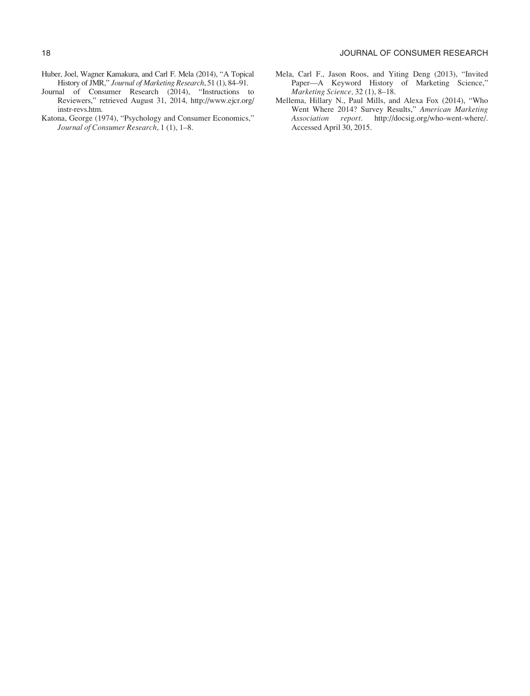- <span id="page-13-0"></span>Huber, Joel, Wagner Kamakura, and Carl F. Mela (2014), "A Topical History of JMR," Journal of Marketing Research, 51 (1), 84–91.
- Journal of Consumer Research (2014), "Instructions to Reviewers," retrieved August 31, 2014, [http://www.ejcr.org/](http://www.ejcr.org/instr-revs.htm) [instr-revs.htm](http://www.ejcr.org/instr-revs.htm).
- Katona, George (1974), "Psychology and Consumer Economics," Journal of Consumer Research, 1 (1), 1–8.
- Mela, Carl F., Jason Roos, and Yiting Deng (2013), "Invited Paper—A Keyword History of Marketing Science," Marketing Science, 32 (1), 8–18.
- Mellema, Hillary N., Paul Mills, and Alexa Fox (2014), "Who Went Where 2014? Survey Results," American Marketing Association report.<http://docsig.org/who-went-where/>. Accessed April 30, 2015.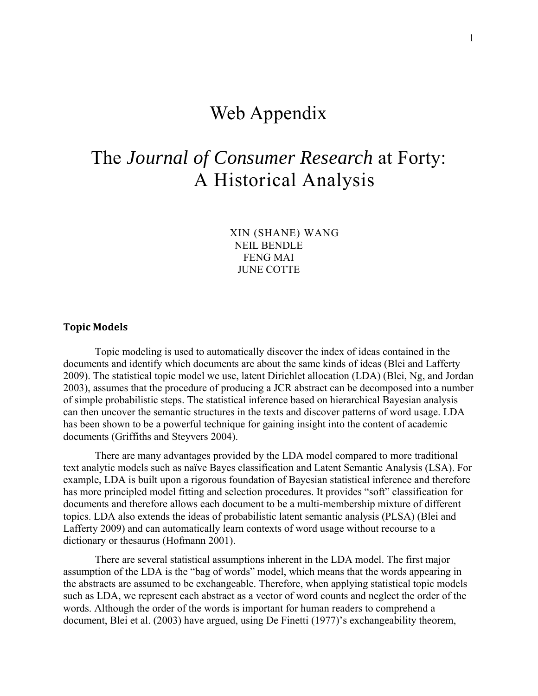# Web Appendix

# The *Journal of Consumer Research* at Forty: A Historical Analysis

XIN (SHANE) WANG NEIL BENDLE FENG MAI JUNE COTTE

# **Topic Models**

Topic modeling is used to automatically discover the index of ideas contained in the documents and identify which documents are about the same kinds of ideas (Blei and Lafferty 2009). The statistical topic model we use, latent Dirichlet allocation (LDA) (Blei, Ng, and Jordan 2003), assumes that the procedure of producing a JCR abstract can be decomposed into a number of simple probabilistic steps. The statistical inference based on hierarchical Bayesian analysis can then uncover the semantic structures in the texts and discover patterns of word usage. LDA has been shown to be a powerful technique for gaining insight into the content of academic documents (Griffiths and Steyvers 2004).

There are many advantages provided by the LDA model compared to more traditional text analytic models such as naïve Bayes classification and Latent Semantic Analysis (LSA). For example, LDA is built upon a rigorous foundation of Bayesian statistical inference and therefore has more principled model fitting and selection procedures. It provides "soft" classification for documents and therefore allows each document to be a multi-membership mixture of different topics. LDA also extends the ideas of probabilistic latent semantic analysis (PLSA) (Blei and Lafferty 2009) and can automatically learn contexts of word usage without recourse to a dictionary or thesaurus (Hofmann 2001).

There are several statistical assumptions inherent in the LDA model. The first major assumption of the LDA is the "bag of words" model, which means that the words appearing in the abstracts are assumed to be exchangeable. Therefore, when applying statistical topic models such as LDA, we represent each abstract as a vector of word counts and neglect the order of the words. Although the order of the words is important for human readers to comprehend a document, Blei et al. (2003) have argued, using De Finetti (1977)'s exchangeability theorem,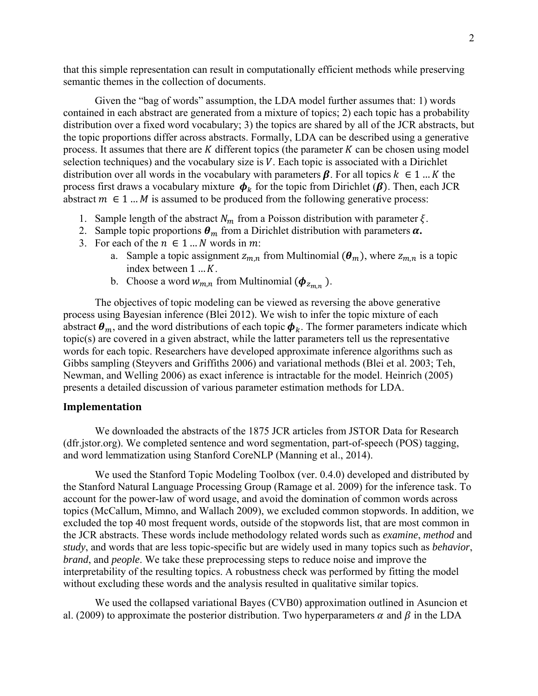that this simple representation can result in computationally efficient methods while preserving semantic themes in the collection of documents.

Given the "bag of words" assumption, the LDA model further assumes that: 1) words contained in each abstract are generated from a mixture of topics; 2) each topic has a probability distribution over a fixed word vocabulary; 3) the topics are shared by all of the JCR abstracts, but the topic proportions differ across abstracts. Formally, LDA can be described using a generative process. It assumes that there are  $K$  different topics (the parameter  $K$  can be chosen using model selection techniques) and the vocabulary size is  $V$ . Each topic is associated with a Dirichlet distribution over all words in the vocabulary with parameters  $\beta$ . For all topics  $k \in 1...K$  the process first draws a vocabulary mixture  $\phi_k$  for the topic from Dirichlet ( $\beta$ ). Then, each JCR abstract  $m \in 1 \dots M$  is assumed to be produced from the following generative process:

- 1. Sample length of the abstract  $N_m$  from a Poisson distribution with parameter  $\xi$ .
- 2. Sample topic proportions  $\boldsymbol{\theta}_m$  from a Dirichlet distribution with parameters  $\boldsymbol{\alpha}$ .
- 3. For each of the  $n \in 1...N$  words in m:
	- a. Sample a topic assignment  $z_{m,n}$  from Multinomial  $(\theta_m)$ , where  $z_{m,n}$  is a topic index between  $1 \dots K$ .
	- b. Choose a word  $w_{m,n}$  from Multinomial  $(\phi_{z_{m,n}})$ .

The objectives of topic modeling can be viewed as reversing the above generative process using Bayesian inference (Blei 2012). We wish to infer the topic mixture of each abstract  $\theta_m$ , and the word distributions of each topic  $\phi_k$ . The former parameters indicate which topic(s) are covered in a given abstract, while the latter parameters tell us the representative words for each topic. Researchers have developed approximate inference algorithms such as Gibbs sampling (Steyvers and Griffiths 2006) and variational methods (Blei et al. 2003; Teh, Newman, and Welling 2006) as exact inference is intractable for the model. Heinrich (2005) presents a detailed discussion of various parameter estimation methods for LDA.

# **Implementation**

We downloaded the abstracts of the 1875 JCR articles from JSTOR Data for Research (dfr.jstor.org). We completed sentence and word segmentation, part-of-speech (POS) tagging, and word lemmatization using Stanford CoreNLP (Manning et al., 2014).

We used the Stanford Topic Modeling Toolbox (ver. 0.4.0) developed and distributed by the Stanford Natural Language Processing Group (Ramage et al. 2009) for the inference task. To account for the power-law of word usage, and avoid the domination of common words across topics (McCallum, Mimno, and Wallach 2009), we excluded common stopwords. In addition, we excluded the top 40 most frequent words, outside of the stopwords list, that are most common in the JCR abstracts. These words include methodology related words such as *examine*, *method* and *study*, and words that are less topic-specific but are widely used in many topics such as *behavior*, *brand*, and *people*. We take these preprocessing steps to reduce noise and improve the interpretability of the resulting topics. A robustness check was performed by fitting the model without excluding these words and the analysis resulted in qualitative similar topics.

We used the collapsed variational Bayes (CVB0) approximation outlined in Asuncion et al. (2009) to approximate the posterior distribution. Two hyperparameters  $\alpha$  and  $\beta$  in the LDA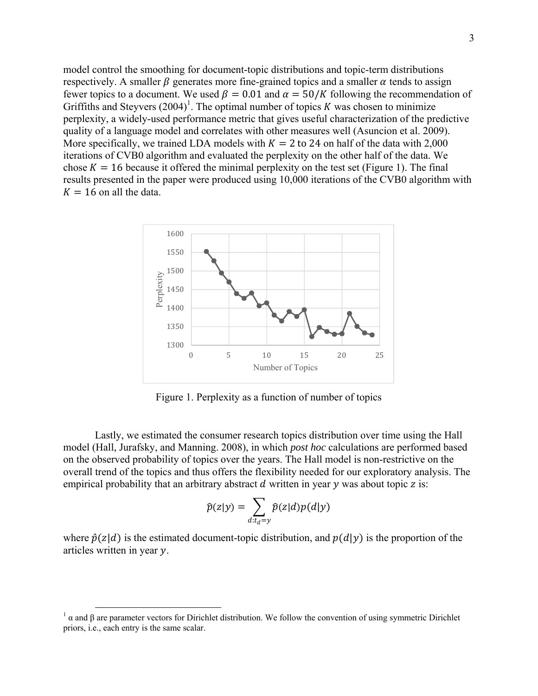model control the smoothing for document-topic distributions and topic-term distributions respectively. A smaller  $\beta$  generates more fine-grained topics and a smaller  $\alpha$  tends to assign fewer topics to a document. We used  $\beta = 0.01$  and  $\alpha = 50/K$  following the recommendation of Griffiths and Steyvers  $(2004)^1$ . The optimal number of topics K was chosen to minimize perplexity, a widely-used performance metric that gives useful characterization of the predictive quality of a language model and correlates with other measures well (Asuncion et al. 2009). More specifically, we trained LDA models with  $K = 2$  to 24 on half of the data with 2,000 iterations of CVB0 algorithm and evaluated the perplexity on the other half of the data. We chose  $K = 16$  because it offered the minimal perplexity on the test set (Figure 1). The final results presented in the paper were produced using 10,000 iterations of the CVB0 algorithm with  $K = 16$  on all the data.



Figure 1. Perplexity as a function of number of topics

Lastly, we estimated the consumer research topics distribution over time using the Hall model (Hall, Jurafsky, and Manning. 2008), in which *post hoc* calculations are performed based on the observed probability of topics over the years. The Hall model is non-restrictive on the overall trend of the topics and thus offers the flexibility needed for our exploratory analysis. The empirical probability that an arbitrary abstract d written in year  $\nu$  was about topic z is:

$$
\widehat{p}(z|y) = \sum_{d:t_d=y} \widehat{p}(z|d)p(d|y)
$$

where  $\hat{p}(z|d)$  is the estimated document-topic distribution, and  $p(d|y)$  is the proportion of the articles written in year  $y$ .

 $1 \alpha$  and β are parameter vectors for Dirichlet distribution. We follow the convention of using symmetric Dirichlet priors, i.e., each entry is the same scalar.